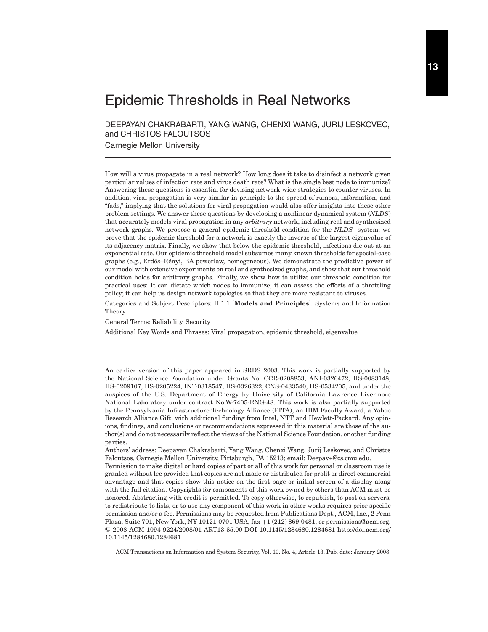# Epidemic Thresholds in Real Networks

DEEPAYAN CHAKRABARTI, YANG WANG, CHENXI WANG, JURIJ LESKOVEC, and CHRISTOS FALOUTSOS

Carnegie Mellon University

How will a virus propagate in a real network? How long does it take to disinfect a network given particular values of infection rate and virus death rate? What is the single best node to immunize? Answering these questions is essential for devising network-wide strategies to counter viruses. In addition, viral propagation is very similar in principle to the spread of rumors, information, and "fads," implying that the solutions for viral propagation would also offer insights into these other problem settings. We answer these questions by developing a nonlinear dynamical system (*NLDS*) that accurately models viral propagation in any *arbitrary* network, including real and synthesized network graphs. We propose a general epidemic threshold condition for the *NLDS* system: we prove that the epidemic threshold for a network is exactly the inverse of the largest eigenvalue of its adjacency matrix. Finally, we show that below the epidemic threshold, infections die out at an exponential rate. Our epidemic threshold model subsumes many known thresholds for special-case graphs (e.g., Erdös–Rényi, BA powerlaw, homogeneous). We demonstrate the predictive power of our model with extensive experiments on real and synthesized graphs, and show that our threshold condition holds for arbitrary graphs. Finally, we show how to utilize our threshold condition for practical uses: It can dictate which nodes to immunize; it can assess the effects of a throttling policy; it can help us design network topologies so that they are more resistant to viruses.

Categories and Subject Descriptors: H.1.1 [**Models and Principles**]: Systems and Information Theory

General Terms: Reliability, Security

Additional Key Words and Phrases: Viral propagation, epidemic threshold, eigenvalue

An earlier version of this paper appeared in SRDS 2003. This work is partially supported by the National Science Foundation under Grants No. CCR-0208853, ANI-0326472, IIS-0083148, IIS-0209107, IIS-0205224, INT-0318547, IIS-0326322, CNS-0433540, IIS-0534205, and under the auspices of the U.S. Department of Energy by University of California Lawrence Livermore National Laboratory under contract No.W-7405-ENG-48. This work is also partially supported by the Pennsylvania Infrastructure Technology Alliance (PITA), an IBM Faculty Award, a Yahoo Research Alliance Gift, with additional funding from Intel, NTT and Hewlett-Packard. Any opinions, findings, and conclusions or recommendations expressed in this material are those of the author(s) and do not necessarily reflect the views of the National Science Foundation, or other funding parties.

Authors' address: Deepayan Chakrabarti, Yang Wang, Chenxi Wang, Jurij Leskovec, and Christos Faloutsos, Carnegie Mellon University, Pittsburgh, PA 15213; email: Deepay+@cs.cmu.edu.

Permission to make digital or hard copies of part or all of this work for personal or classroom use is granted without fee provided that copies are not made or distributed for profit or direct commercial advantage and that copies show this notice on the first page or initial screen of a display along with the full citation. Copyrights for components of this work owned by others than ACM must be honored. Abstracting with credit is permitted. To copy otherwise, to republish, to post on servers, to redistribute to lists, or to use any component of this work in other works requires prior specific permission and/or a fee. Permissions may be requested from Publications Dept., ACM, Inc., 2 Penn Plaza, Suite 701, New York, NY 10121-0701 USA, fax +1 (212) 869-0481, or permissions@acm.org. © 2008 ACM 1094-9224/2008/01-ART13 \$5.00 DOI 10.1145/1284680.1284681 http://doi.acm.org/ 10.1145/1284680.1284681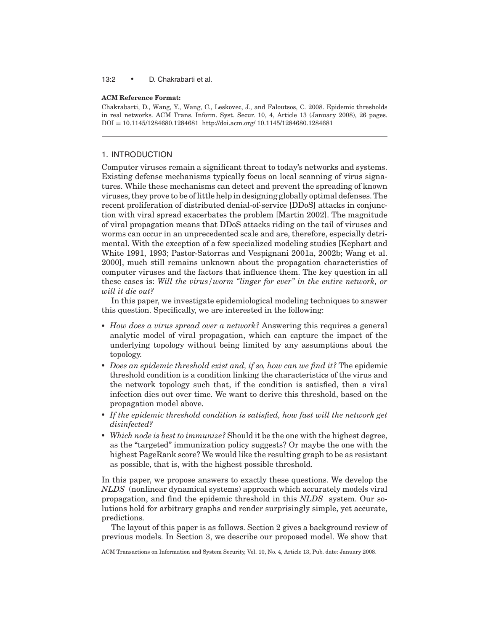#### 13:2 • D. Chakrabarti et al.

#### **ACM Reference Format:**

Chakrabarti, D., Wang, Y., Wang, C., Leskovec, J., and Faloutsos, C. 2008. Epidemic thresholds in real networks. ACM Trans. Inform. Syst. Secur. 10, 4, Article 13 (January 2008), 26 pages. DOI = 10.1145/1284680.1284681 http://doi.acm.org/ 10.1145/1284680.1284681

# 1. INTRODUCTION

Computer viruses remain a significant threat to today's networks and systems. Existing defense mechanisms typically focus on local scanning of virus signatures. While these mechanisms can detect and prevent the spreading of known viruses, they prove to be of little help in designing globally optimal defenses. The recent proliferation of distributed denial-of-service [DDoS] attacks in conjunction with viral spread exacerbates the problem [Martin 2002]. The magnitude of viral propagation means that DDoS attacks riding on the tail of viruses and worms can occur in an unprecedented scale and are, therefore, especially detrimental. With the exception of a few specialized modeling studies [Kephart and White 1991, 1993; Pastor-Satorras and Vespignani 2001a, 2002b; Wang et al. 2000], much still remains unknown about the propagation characteristics of computer viruses and the factors that influence them. The key question in all these cases is: *Will the virus/worm "linger for ever" in the entire network, or will it die out?*

In this paper, we investigate epidemiological modeling techniques to answer this question. Specifically, we are interested in the following:

- *How does a virus spread over a network?* Answering this requires a general analytic model of viral propagation, which can capture the impact of the underlying topology without being limited by any assumptions about the topology.
- *Does an epidemic threshold exist and, if so, how can we find it?* The epidemic threshold condition is a condition linking the characteristics of the virus and the network topology such that, if the condition is satisfied, then a viral infection dies out over time. We want to derive this threshold, based on the propagation model above.
- *If the epidemic threshold condition is satisfied, how fast will the network get disinfected?*
- *Which node is best to immunize?* Should it be the one with the highest degree, as the "targeted" immunization policy suggests? Or maybe the one with the highest PageRank score? We would like the resulting graph to be as resistant as possible, that is, with the highest possible threshold.

In this paper, we propose answers to exactly these questions. We develop the *NLDS* (nonlinear dynamical systems) approach which accurately models viral propagation, and find the epidemic threshold in this *NLDS* system. Our solutions hold for arbitrary graphs and render surprisingly simple, yet accurate, predictions.

The layout of this paper is as follows. Section 2 gives a background review of previous models. In Section 3, we describe our proposed model. We show that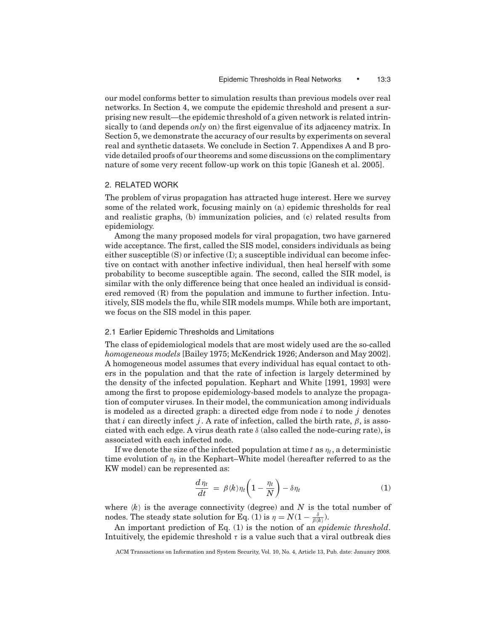our model conforms better to simulation results than previous models over real networks. In Section 4, we compute the epidemic threshold and present a surprising new result—the epidemic threshold of a given network is related intrinsically to (and depends *only* on) the first eigenvalue of its adjacency matrix. In Section 5, we demonstrate the accuracy of our results by experiments on several real and synthetic datasets. We conclude in Section 7. Appendixes A and B provide detailed proofs of our theorems and some discussions on the complimentary nature of some very recent follow-up work on this topic [Ganesh et al. 2005].

## 2. RELATED WORK

The problem of virus propagation has attracted huge interest. Here we survey some of the related work, focusing mainly on (a) epidemic thresholds for real and realistic graphs, (b) immunization policies, and (c) related results from epidemiology.

Among the many proposed models for viral propagation, two have garnered wide acceptance. The first, called the SIS model, considers individuals as being either susceptible (S) or infective (I); a susceptible individual can become infective on contact with another infective individual, then heal herself with some probability to become susceptible again. The second, called the SIR model, is similar with the only difference being that once healed an individual is considered removed (R) from the population and immune to further infection. Intuitively, SIS models the flu, while SIR models mumps. While both are important, we focus on the SIS model in this paper.

#### 2.1 Earlier Epidemic Thresholds and Limitations

The class of epidemiological models that are most widely used are the so-called *homogeneous models* [Bailey 1975; McKendrick 1926; Anderson and May 2002]. A homogeneous model assumes that every individual has equal contact to others in the population and that the rate of infection is largely determined by the density of the infected population. Kephart and White [1991, 1993] were among the first to propose epidemiology-based models to analyze the propagation of computer viruses. In their model, the communication among individuals is modeled as a directed graph: a directed edge from node *i* to node *j* denotes that *i* can directly infect *j*. A rate of infection, called the birth rate,  $\beta$ , is associated with each edge. A virus death rate  $\delta$  (also called the node-curing rate), is associated with each infected node.

If we denote the size of the infected population at time  $t$  as  $\eta_t$ , a deterministic time evolution of  $\eta_t$  in the Kephart–White model (hereafter referred to as the KW model) can be represented as:

$$
\frac{d\eta_t}{dt} = \beta \langle k \rangle \eta_t \left( 1 - \frac{\eta_t}{N} \right) - \delta \eta_t \tag{1}
$$

where  $\langle k \rangle$  is the average connectivity (degree) and N is the total number of nodes. The steady state solution for Eq. (1) is  $\eta = N(1 - \frac{\delta}{\beta \langle k \rangle}).$ 

An important prediction of Eq. (1) is the notion of an *epidemic threshold*. Intuitively, the epidemic threshold  $\tau$  is a value such that a viral outbreak dies

ACM Transactions on Information and System Security, Vol. 10, No. 4, Article 13, Pub. date: January 2008.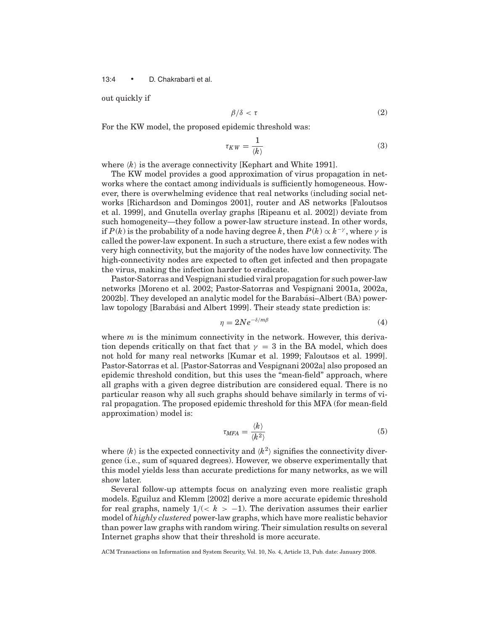13:4 • D. Chakrabarti et al.

out quickly if

$$
\beta/\delta < \tau \tag{2}
$$

For the KW model, the proposed epidemic threshold was:

$$
\tau_{KW} = \frac{1}{\langle k \rangle} \tag{3}
$$

where  $\langle k \rangle$  is the average connectivity [Kephart and White 1991].

The KW model provides a good approximation of virus propagation in networks where the contact among individuals is sufficiently homogeneous. However, there is overwhelming evidence that real networks (including social networks [Richardson and Domingos 2001], router and AS networks [Faloutsos et al. 1999], and Gnutella overlay graphs [Ripeanu et al. 2002]) deviate from such homogeneity—they follow a power-law structure instead. In other words, if  $P(k)$  is the probability of a node having degree k, then  $P(k) \propto k^{-\gamma}$ , where  $\gamma$  is called the power-law exponent. In such a structure, there exist a few nodes with very high connectivity, but the majority of the nodes have low connectivity. The high-connectivity nodes are expected to often get infected and then propagate the virus, making the infection harder to eradicate.

Pastor-Satorras and Vespignani studied viral propagation for such power-law networks [Moreno et al. 2002; Pastor-Satorras and Vespignani 2001a, 2002a, 2002b]. They developed an analytic model for the Barabasi–Albert (BA) power- ´ law topology [Barabási and Albert 1999]. Their steady state prediction is:

$$
\eta = 2Ne^{-\delta/m\beta} \tag{4}
$$

where *m* is the minimum connectivity in the network. However, this derivation depends critically on that fact that  $\gamma = 3$  in the BA model, which does not hold for many real networks [Kumar et al. 1999; Faloutsos et al. 1999]. Pastor-Satorras et al. [Pastor-Satorras and Vespignani 2002a] also proposed an epidemic threshold condition, but this uses the "mean-field" approach, where all graphs with a given degree distribution are considered equal. There is no particular reason why all such graphs should behave similarly in terms of viral propagation. The proposed epidemic threshold for this MFA (for mean-field approximation) model is:

$$
\tau_{MFA} = \frac{\langle k \rangle}{\langle k^2 \rangle} \tag{5}
$$

where  $\langle k \rangle$  is the expected connectivity and  $\langle k^2 \rangle$  signifies the connectivity divergence (i.e., sum of squared degrees). However, we observe experimentally that this model yields less than accurate predictions for many networks, as we will show later.

Several follow-up attempts focus on analyzing even more realistic graph models. Eguiluz and Klemm [2002] derive a more accurate epidemic threshold for real graphs, namely  $1/(< k > -1)$ . The derivation assumes their earlier model of *highly clustered* power-law graphs, which have more realistic behavior than power law graphs with random wiring. Their simulation results on several Internet graphs show that their threshold is more accurate.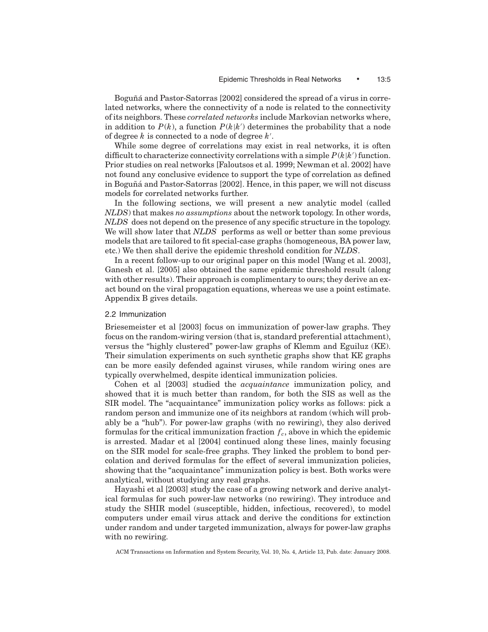Boguñá and Pastor-Satorras [2002] considered the spread of a virus in correlated networks, where the connectivity of a node is related to the connectivity of its neighbors. These *correlated networks* include Markovian networks where, in addition to  $P(k)$ , a function  $P(k|k')$  determines the probability that a node of degree *k* is connected to a node of degree *k* .

While some degree of correlations may exist in real networks, it is often difficult to characterize connectivity correlations with a simple  $P(k|k')$  function. Prior studies on real networks [Faloutsos et al. 1999; Newman et al. 2002] have not found any conclusive evidence to support the type of correlation as defined in Boguñá and Pastor-Satorras [2002]. Hence, in this paper, we will not discuss models for correlated networks further.

In the following sections, we will present a new analytic model (called *NLDS*) that makes *no assumptions* about the network topology. In other words, *NLDS* does not depend on the presence of any specific structure in the topology. We will show later that *NLDS* performs as well or better than some previous models that are tailored to fit special-case graphs (homogeneous, BA power law, etc.) We then shall derive the epidemic threshold condition for *NLDS*.

In a recent follow-up to our original paper on this model [Wang et al. 2003], Ganesh et al. [2005] also obtained the same epidemic threshold result (along with other results). Their approach is complimentary to ours; they derive an exact bound on the viral propagation equations, whereas we use a point estimate. Appendix B gives details.

## 2.2 Immunization

Briesemeister et al [2003] focus on immunization of power-law graphs. They focus on the random-wiring version (that is, standard preferential attachment), versus the "highly clustered" power-law graphs of Klemm and Eguiluz (KE). Their simulation experiments on such synthetic graphs show that KE graphs can be more easily defended against viruses, while random wiring ones are typically overwhelmed, despite identical immunization policies.

Cohen et al [2003] studied the *acquaintance* immunization policy, and showed that it is much better than random, for both the SIS as well as the SIR model. The "acquaintance" immunization policy works as follows: pick a random person and immunize one of its neighbors at random (which will probably be a "hub"). For power-law graphs (with no rewiring), they also derived formulas for the critical immunization fraction  $f_c$ , above in which the epidemic is arrested. Madar et al [2004] continued along these lines, mainly focusing on the SIR model for scale-free graphs. They linked the problem to bond percolation and derived formulas for the effect of several immunization policies, showing that the "acquaintance" immunization policy is best. Both works were analytical, without studying any real graphs.

Hayashi et al [2003] study the case of a growing network and derive analytical formulas for such power-law networks (no rewiring). They introduce and study the SHIR model (susceptible, hidden, infectious, recovered), to model computers under email virus attack and derive the conditions for extinction under random and under targeted immunization, always for power-law graphs with no rewiring.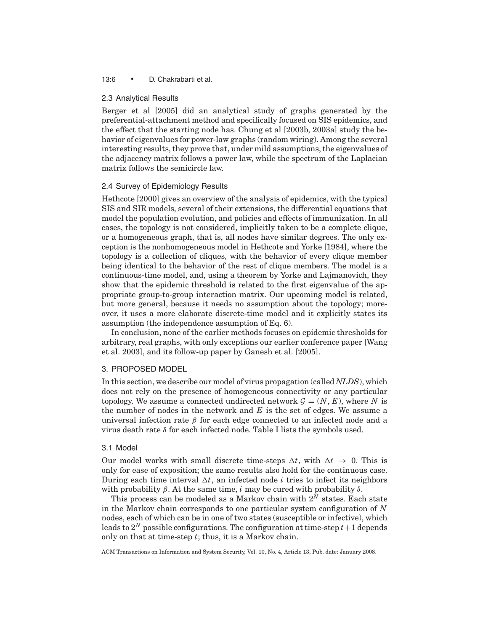#### 13:6 • D. Chakrabarti et al.

#### 2.3 Analytical Results

Berger et al [2005] did an analytical study of graphs generated by the preferential-attachment method and specifically focused on SIS epidemics, and the effect that the starting node has. Chung et al [2003b, 2003a] study the behavior of eigenvalues for power-law graphs (random wiring). Among the several interesting results, they prove that, under mild assumptions, the eigenvalues of the adjacency matrix follows a power law, while the spectrum of the Laplacian matrix follows the semicircle law.

## 2.4 Survey of Epidemiology Results

Hethcote [2000] gives an overview of the analysis of epidemics, with the typical SIS and SIR models, several of their extensions, the differential equations that model the population evolution, and policies and effects of immunization. In all cases, the topology is not considered, implicitly taken to be a complete clique, or a homogeneous graph, that is, all nodes have similar degrees. The only exception is the nonhomogeneous model in Hethcote and Yorke [1984], where the topology is a collection of cliques, with the behavior of every clique member being identical to the behavior of the rest of clique members. The model is a continuous-time model, and, using a theorem by Yorke and Lajmanovich, they show that the epidemic threshold is related to the first eigenvalue of the appropriate group-to-group interaction matrix. Our upcoming model is related, but more general, because it needs no assumption about the topology; moreover, it uses a more elaborate discrete-time model and it explicitly states its assumption (the independence assumption of Eq. 6).

In conclusion, none of the earlier methods focuses on epidemic thresholds for arbitrary, real graphs, with only exceptions our earlier conference paper [Wang et al. 2003], and its follow-up paper by Ganesh et al. [2005].

## 3. PROPOSED MODEL

In this section, we describe our model of virus propagation (called *NLDS*), which does not rely on the presence of homogeneous connectivity or any particular topology. We assume a connected undirected network  $\mathcal{G} = (N, E)$ , where N is the number of nodes in the network and *E* is the set of edges. We assume a universal infection rate  $\beta$  for each edge connected to an infected node and a virus death rate  $\delta$  for each infected node. Table I lists the symbols used.

#### 3.1 Model

Our model works with small discrete time-steps  $\Delta t$ , with  $\Delta t \rightarrow 0$ . This is only for ease of exposition; the same results also hold for the continuous case. During each time interval  $\Delta t$ , an infected node *i* tries to infect its neighbors with probability  $\beta$ . At the same time, *i* may be cured with probability  $\delta$ .

This process can be modeled as a Markov chain with  $2<sup>N</sup>$  states. Each state in the Markov chain corresponds to one particular system configuration of *N* nodes, each of which can be in one of two states (susceptible or infective), which leads to  $2^N$  possible configurations. The configuration at time-step  $t+1$  depends only on that at time-step *t*; thus, it is a Markov chain.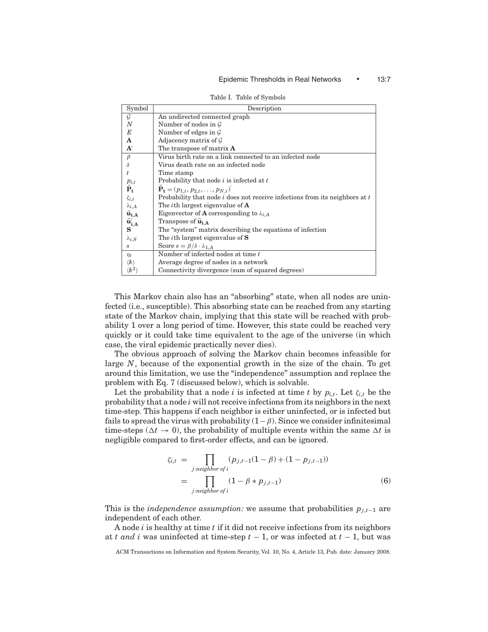#### Epidemic Thresholds in Real Networks • 13:7

| Symbol                   | Description                                                                     |  |  |  |
|--------------------------|---------------------------------------------------------------------------------|--|--|--|
| G                        | An undirected connected graph                                                   |  |  |  |
| $\boldsymbol{N}$         | Number of nodes in $\mathcal G$                                                 |  |  |  |
| E                        | Number of edges in $\mathcal G$                                                 |  |  |  |
| A                        | Adjacency matrix of $\mathcal G$                                                |  |  |  |
| ${\bf A}'$               | The transpose of matrix $A$                                                     |  |  |  |
| $\beta$                  | Virus birth rate on a link connected to an infected node                        |  |  |  |
| $\delta$                 | Virus death rate on an infected node                                            |  |  |  |
| t.                       | Time stamp                                                                      |  |  |  |
|                          | Probability that node <i>i</i> is infected at <i>t</i>                          |  |  |  |
| $\Pr^{\mathit{p}_{i,t}}$ | $\tilde{\mathbf{P}}_{t} = (p_{1,t}, p_{2,t}, \ldots, p_{N,t})^{T}$              |  |  |  |
| $\zeta_{i,t}$            | Probability that node $i$ does not receive infections from its neighbors at $t$ |  |  |  |
| $\lambda_{i,A}$          | The <i>i</i> th largest eigenvalue of $\bf{A}$                                  |  |  |  |
| $\vec{u}_{i,A}$          | Eigenvector of <b>A</b> corresponding to $\lambda_{i,A}$                        |  |  |  |
| $\vec{u}'_{i,A}$         | Transpose of $\vec{u}_{i,A}$                                                    |  |  |  |
| $\mathbf{s}$             | The "system" matrix describing the equations of infection                       |  |  |  |
| $\lambda_{i,S}$          | The <i>i</i> th largest eigenvalue of $S$                                       |  |  |  |
| S                        | Score $s = \beta/\delta \cdot \lambda_{1,A}$                                    |  |  |  |
| $\eta_t$                 | Number of infected nodes at time t                                              |  |  |  |
| $\langle k \rangle$      | Average degree of nodes in a network                                            |  |  |  |
| $\langle k^2\rangle$     | Connectivity divergence (sum of squared degrees)                                |  |  |  |

Table I. Table of Symbols

This Markov chain also has an "absorbing" state, when all nodes are uninfected (i.e., susceptible). This absorbing state can be reached from any starting state of the Markov chain, implying that this state will be reached with probability 1 over a long period of time. However, this state could be reached very quickly or it could take time equivalent to the age of the universe (in which case, the viral epidemic practically never dies).

The obvious approach of solving the Markov chain becomes infeasible for large *N*, because of the exponential growth in the size of the chain. To get around this limitation, we use the "independence" assumption and replace the problem with Eq. 7 (discussed below), which is solvable.

Let the probability that a node *i* is infected at time *t* by  $p_{i,t}$ . Let  $\zeta_{i,t}$  be the probability that a node *i* will not receive infections from its neighbors in the next time-step. This happens if each neighbor is either uninfected, or is infected but fails to spread the virus with probability  $(1-\beta)$ . Since we consider infinitesimal time-steps ( $\Delta t \rightarrow 0$ ), the probability of multiple events within the same  $\Delta t$  is negligible compared to first-order effects, and can be ignored.

$$
\zeta_{i,t} = \prod_{j:neighbor \text{ of } i} (p_{j,t-1}(1-\beta) + (1-p_{j,t-1}))
$$
  
= 
$$
\prod_{j:neighbor \text{ of } i} (1-\beta * p_{j,t-1})
$$
 (6)

This is the *independence assumption:* we assume that probabilities  $p_{j,t-1}$  are independent of each other.

A node *i* is healthy at time *t* if it did not receive infections from its neighbors at *t and i* was uninfected at time-step *t* − 1, or was infected at *t* − 1, but was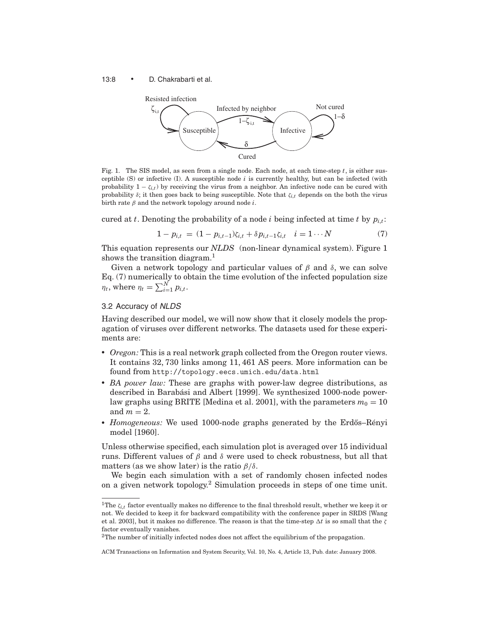#### 13:8 • D. Chakrabarti et al.



Fig. 1. The SIS model, as seen from a single node. Each node, at each time-step *t*, is either susceptible  $(S)$  or infective  $(I)$ . A susceptible node *i* is currently healthy, but can be infected (with probability  $1 - \zeta_{i,t}$ ) by receiving the virus from a neighbor. An infective node can be cured with probability  $\delta$ ; it then goes back to being susceptible. Note that  $\zeta_{i,t}$  depends on the both the virus birth rate  $\beta$  and the network topology around node *i*.

cured at *t*. Denoting the probability of a node *i* being infected at time *t* by  $p_{i,t}$ :

$$
1 - p_{i,t} = (1 - p_{i,t-1})\zeta_{i,t} + \delta p_{i,t-1}\zeta_{i,t} \quad i = 1 \cdots N \tag{7}
$$

This equation represents our *NLDS* (non-linear dynamical system). Figure 1 shows the transition diagram.<sup>1</sup>

Given a network topology and particular values of  $\beta$  and  $\delta$ , we can solve Eq. (7) numerically to obtain the time evolution of the infected population size  $\eta_t$ , where  $\eta_t = \sum_{i=1}^N p_{i,t}$ .

## 3.2 Accuracy of *NLDS*

Having described our model, we will now show that it closely models the propagation of viruses over different networks. The datasets used for these experiments are:

- *Oregon:* This is a real network graph collected from the Oregon router views. It contains 32, 730 links among 11, 461 AS peers. More information can be found from http://topology.eecs.umich.edu/data.html
- *BA power law:* These are graphs with power-law degree distributions, as described in Barabási and Albert [1999]. We synthesized 1000-node powerlaw graphs using BRITE [Medina et al. 2001], with the parameters  $m_0 = 10$ and  $m = 2$ .
- *Homogeneous:* We used 1000-node graphs generated by the Erdős-Rényi model [1960].

Unless otherwise specified, each simulation plot is averaged over 15 individual runs. Different values of β and δ were used to check robustness, but all that matters (as we show later) is the ratio  $\beta/\delta$ .

We begin each simulation with a set of randomly chosen infected nodes on a given network topology.2 Simulation proceeds in steps of one time unit.

<sup>&</sup>lt;sup>1</sup>The  $\zeta_{i,t}$  factor eventually makes no difference to the final threshold result, whether we keep it or not. We decided to keep it for backward compatibility with the conference paper in SRDS [Wang et al. 2003], but it makes no difference. The reason is that the time-step  $\Delta t$  is so small that the  $\zeta$ factor eventually vanishes.

<sup>&</sup>lt;sup>2</sup>The number of initially infected nodes does not affect the equilibrium of the propagation.

ACM Transactions on Information and System Security, Vol. 10, No. 4, Article 13, Pub. date: January 2008.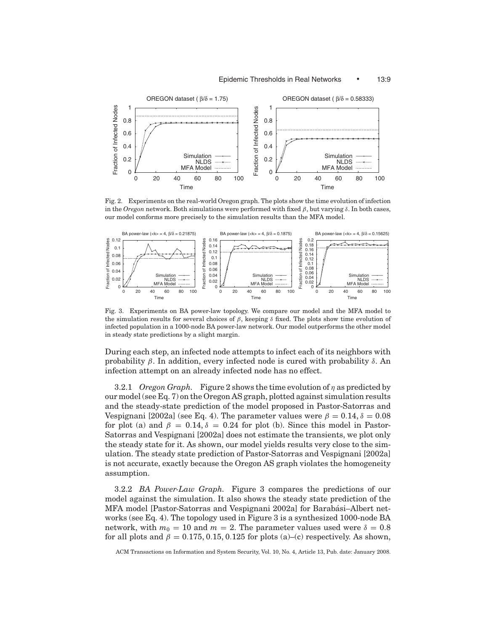

Fig. 2. Experiments on the real-world Oregon graph. The plots show the time evolution of infection in the *Oregon* network. Both simulations were performed with fixed  $\beta$ , but varying  $\delta$ . In both cases, our model conforms more precisely to the simulation results than the MFA model.



Fig. 3. Experiments on BA power-law topology. We compare our model and the MFA model to the simulation results for several choices of  $\beta$ , keeping  $\delta$  fixed. The plots show time evolution of infected population in a 1000-node BA power-law network. Our model outperforms the other model in steady state predictions by a slight margin.

During each step, an infected node attempts to infect each of its neighbors with probability  $\beta$ . In addition, every infected node is cured with probability  $\delta$ . An infection attempt on an already infected node has no effect.

3.2.1 *Oregon Graph.* Figure 2 shows the time evolution of η as predicted by our model (see Eq. 7) on the Oregon AS graph, plotted against simulation results and the steady-state prediction of the model proposed in Pastor-Satorras and Vespignani [2002a] (see Eq. 4). The parameter values were  $\beta = 0.14$ ,  $\delta = 0.08$ for plot (a) and  $\beta = 0.14$ ,  $\delta = 0.24$  for plot (b). Since this model in Pastor-Satorras and Vespignani [2002a] does not estimate the transients, we plot only the steady state for it. As shown, our model yields results very close to the simulation. The steady state prediction of Pastor-Satorras and Vespignani [2002a] is not accurate, exactly because the Oregon AS graph violates the homogeneity assumption.

3.2.2 *BA Power-Law Graph.* Figure 3 compares the predictions of our model against the simulation. It also shows the steady state prediction of the MFA model [Pastor-Satorras and Vespignani 2002a] for Barabási-Albert networks (see Eq. 4). The topology used in Figure 3 is a synthesized 1000-node BA network, with  $m_0 = 10$  and  $m = 2$ . The parameter values used were  $\delta = 0.8$ for all plots and  $\beta = 0.175, 0.15, 0.125$  for plots (a)–(c) respectively. As shown,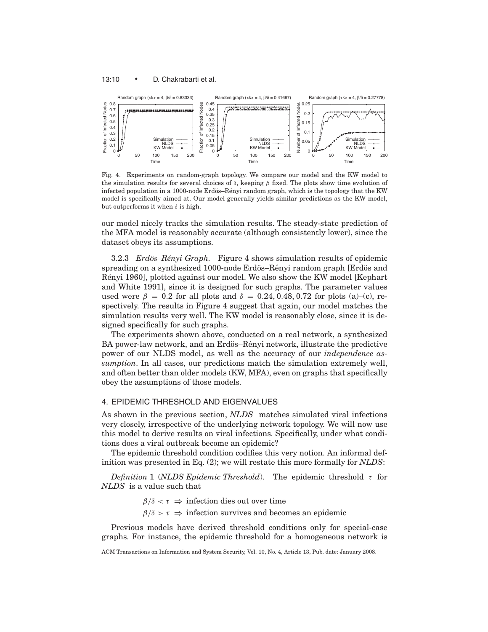

Fig. 4. Experiments on random-graph topology. We compare our model and the KW model to the simulation results for several choices of  $\delta$ , keeping  $\beta$  fixed. The plots show time evolution of infected population in a 1000-node Erdös–Rényi random graph, which is the topology that the KW model is specifically aimed at. Our model generally yields similar predictions as the KW model, but outperforms it when  $\delta$  is high.

our model nicely tracks the simulation results. The steady-state prediction of the MFA model is reasonably accurate (although consistently lower), since the dataset obeys its assumptions.

3.2.3 *Erdös–Rényi Graph.* Figure 4 shows simulation results of epidemic spreading on a synthesized 1000-node Erdös–Rényi random graph [Erdös and Rényi 1960], plotted against our model. We also show the KW model [Kephart] and White 1991], since it is designed for such graphs. The parameter values used were  $\beta = 0.2$  for all plots and  $\delta = 0.24, 0.48, 0.72$  for plots (a)–(c), respectively. The results in Figure 4 suggest that again, our model matches the simulation results very well. The KW model is reasonably close, since it is designed specifically for such graphs.

The experiments shown above, conducted on a real network, a synthesized BA power-law network, and an Erdös–Rényi network, illustrate the predictive power of our NLDS model, as well as the accuracy of our *independence assumption*. In all cases, our predictions match the simulation extremely well, and often better than older models (KW, MFA), even on graphs that specifically obey the assumptions of those models.

## 4. EPIDEMIC THRESHOLD AND EIGENVALUES

As shown in the previous section, *NLDS* matches simulated viral infections very closely, irrespective of the underlying network topology. We will now use this model to derive results on viral infections. Specifically, under what conditions does a viral outbreak become an epidemic?

The epidemic threshold condition codifies this very notion. An informal definition was presented in Eq. (2); we will restate this more formally for *NLDS*:

*Definition* 1 (*NLDS Epidemic Threshold*). The epidemic threshold τ for *NLDS* is a value such that

 $\beta/\delta < \tau \Rightarrow$  infection dies out over time

 $\beta/\delta > \tau \Rightarrow$  infection survives and becomes an epidemic

Previous models have derived threshold conditions only for special-case graphs. For instance, the epidemic threshold for a homogeneous network is

ACM Transactions on Information and System Security, Vol. 10, No. 4, Article 13, Pub. date: January 2008.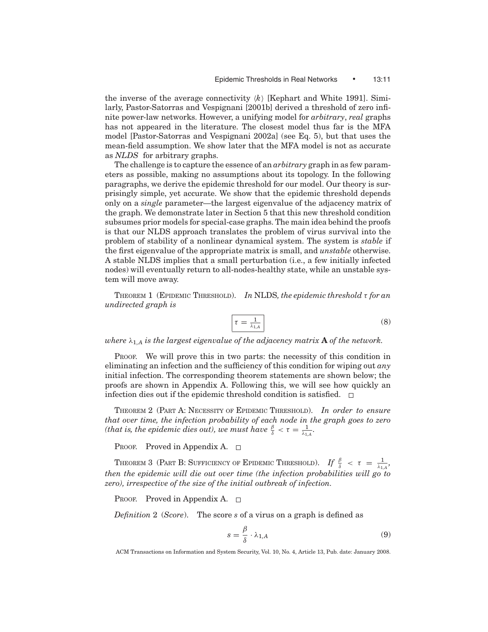the inverse of the average connectivity  $\langle k \rangle$  [Kephart and White 1991]. Similarly, Pastor-Satorras and Vespignani [2001b] derived a threshold of zero infinite power-law networks. However, a unifying model for *arbitrary*, *real* graphs has not appeared in the literature. The closest model thus far is the MFA model [Pastor-Satorras and Vespignani 2002a] (see Eq. 5), but that uses the mean-field assumption. We show later that the MFA model is not as accurate as *NLDS* for arbitrary graphs.

The challenge is to capture the essence of an *arbitrary* graph in as few parameters as possible, making no assumptions about its topology. In the following paragraphs, we derive the epidemic threshold for our model. Our theory is surprisingly simple, yet accurate. We show that the epidemic threshold depends only on a *single* parameter—the largest eigenvalue of the adjacency matrix of the graph. We demonstrate later in Section 5 that this new threshold condition subsumes prior models for special-case graphs. The main idea behind the proofs is that our NLDS approach translates the problem of virus survival into the problem of stability of a nonlinear dynamical system. The system is *stable* if the first eigenvalue of the appropriate matrix is small, and *unstable* otherwise. A stable NLDS implies that a small perturbation (i.e., a few initially infected nodes) will eventually return to all-nodes-healthy state, while an unstable system will move away.

THEOREM 1 (EPIDEMIC THRESHOLD). *In* NLDS*, the epidemic threshold* τ *for an undirected graph is*

$$
\tau = \frac{1}{\lambda_{1,A}}\tag{8}
$$

*where*  $\lambda_{1,A}$  *is the largest eigenvalue of the adjacency matrix* **A** *of the network.* 

PROOF. We will prove this in two parts: the necessity of this condition in eliminating an infection and the sufficiency of this condition for wiping out *any* initial infection. The corresponding theorem statements are shown below; the proofs are shown in Appendix A. Following this, we will see how quickly an infection dies out if the epidemic threshold condition is satisfied.  $\Box$ 

THEOREM 2 (PART A: NECESSITY OF EPIDEMIC THRESHOLD). *In order to ensure that over time, the infection probability of each node in the graph goes to zero (that is, the epidemic dies out), we must have*  $\frac{\beta}{\delta} < \tau = \frac{1}{\lambda_{1,4}}$ *.* 

PROOF. Proved in Appendix A.  $\square$ 

THEOREM 3 (PART B: SUFFICIENCY OF EPIDEMIC THRESHOLD). *If*  $\frac{\beta}{\delta} < \tau = \frac{1}{\lambda_{1,4}}$ , *then the epidemic will die out over time (the infection probabilities will go to zero), irrespective of the size of the initial outbreak of infection.*

PROOF. Proved in Appendix A.  $\Box$ 

*Definition* 2 (*Score*). The score *s* of a virus on a graph is defined as

$$
s = \frac{\beta}{\delta} \cdot \lambda_{1,A} \tag{9}
$$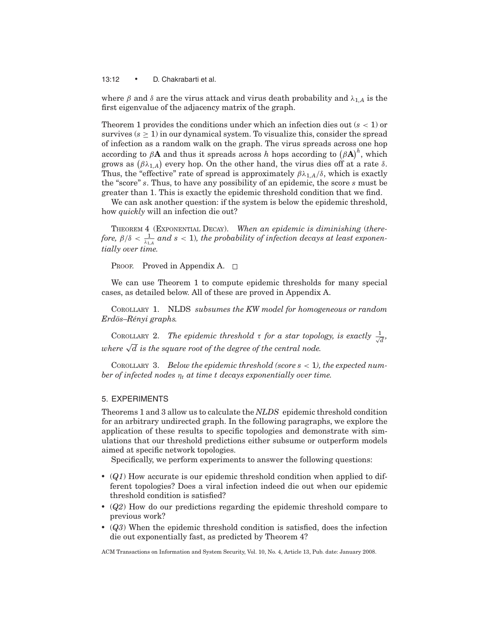13:12 • D. Chakrabarti et al.

where  $\beta$  and  $\delta$  are the virus attack and virus death probability and  $\lambda_{1,A}$  is the first eigenvalue of the adjacency matrix of the graph.

Theorem 1 provides the conditions under which an infection dies out (*s* < 1) or survives  $(s \geq 1)$  in our dynamical system. To visualize this, consider the spread of infection as a random walk on the graph. The virus spreads across one hop according to  $\beta$ **A** and thus it spreads across *h* hops according to  $(\beta A)^h$ , which grows as  $(\beta \lambda_{1,A})$  every hop. On the other hand, the virus dies off at a rate  $\delta$ . Thus, the "effective" rate of spread is approximately  $\beta \lambda_{1,A}/\delta$ , which is exactly the "score" *s*. Thus, to have any possibility of an epidemic, the score *s* must be greater than 1. This is exactly the epidemic threshold condition that we find.

We can ask another question: if the system is below the epidemic threshold, how *quickly* will an infection die out?

THEOREM 4 (EXPONENTIAL DECAY). *When an epidemic is diminishing* (*there*fore,  $\beta/\delta < \frac{1}{\lambda_{1,A}}$  and  $s < 1$ ), the probability of infection decays at least exponen*tially over time.*

PROOF. Proved in Appendix A.  $\square$ 

We can use Theorem 1 to compute epidemic thresholds for many special cases, as detailed below. All of these are proved in Appendix A.

COROLLARY 1. NLDS *subsumes the KW model for homogeneous or random Erd¨os–R´enyi graphs.*

COROLLARY 2. The epidemic threshold  $\tau$  for a star topology, is exactly  $\frac{1}{\sqrt{d}}$ , *where*  $\sqrt{d}$  *is the square root of the degree of the central node.* 

COROLLARY 3. *Below the epidemic threshold (score s* < 1*), the expected number of infected nodes* η*<sup>t</sup> at time t decays exponentially over time.*

# 5. EXPERIMENTS

Theorems 1 and 3 allow us to calculate the *NLDS* epidemic threshold condition for an arbitrary undirected graph. In the following paragraphs, we explore the application of these results to specific topologies and demonstrate with simulations that our threshold predictions either subsume or outperform models aimed at specific network topologies.

Specifically, we perform experiments to answer the following questions:

- (*Q1*) How accurate is our epidemic threshold condition when applied to different topologies? Does a viral infection indeed die out when our epidemic threshold condition is satisfied?
- (*Q2*) How do our predictions regarding the epidemic threshold compare to previous work?
- (*Q3*) When the epidemic threshold condition is satisfied, does the infection die out exponentially fast, as predicted by Theorem 4?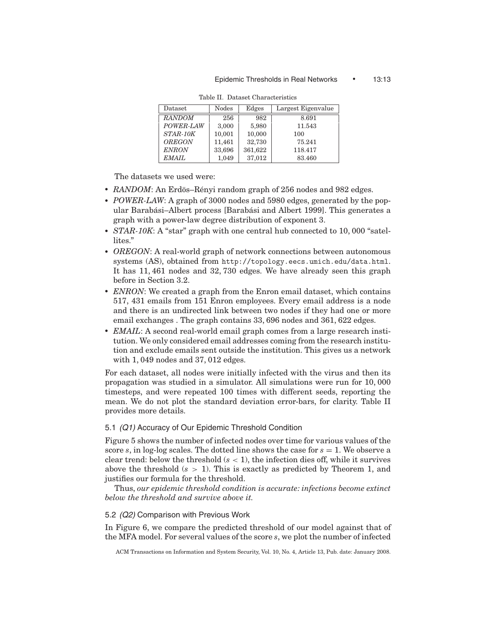| Dataset       | Nodes  | Edges   | Largest Eigenvalue |
|---------------|--------|---------|--------------------|
| <b>RANDOM</b> | 256    | 982     | 8.691              |
| POWER-LAW     | 3,000  | 5.980   | 11.543             |
| STAR-10K      | 10,001 | 10,000  | 100                |
| <b>OREGON</b> | 11,461 | 32,730  | 75.241             |
| <b>ENRON</b>  | 33,696 | 361,622 | 118.417            |
| <i>EMAIL</i>  | 1,049  | 37,012  | 83.460             |

Table II. Dataset Characteristics

The datasets we used were:

- RANDOM: An Erdös-Rényi random graph of 256 nodes and 982 edges.
- POWER-LAW: A graph of 3000 nodes and 5980 edges, generated by the popular Barabási–Albert process [Barabási and Albert 1999]. This generates a graph with a power-law degree distribution of exponent 3.
- *STAR-10K*: A "star" graph with one central hub connected to 10, 000 "satellites."
- *OREGON*: A real-world graph of network connections between autonomous systems (AS), obtained from http://topology.eecs.umich.edu/data.html. It has 11, 461 nodes and 32, 730 edges. We have already seen this graph before in Section 3.2.
- *ENRON*: We created a graph from the Enron email dataset, which contains 517, 431 emails from 151 Enron employees. Every email address is a node and there is an undirected link between two nodes if they had one or more email exchanges . The graph contains 33, 696 nodes and 361, 622 edges.
- *EMAIL*: A second real-world email graph comes from a large research institution. We only considered email addresses coming from the research institution and exclude emails sent outside the institution. This gives us a network with 1, 049 nodes and 37, 012 edges.

For each dataset, all nodes were initially infected with the virus and then its propagation was studied in a simulator. All simulations were run for 10, 000 timesteps, and were repeated 100 times with different seeds, reporting the mean. We do not plot the standard deviation error-bars, for clarity. Table II provides more details.

## 5.1 *(Q1)* Accuracy of Our Epidemic Threshold Condition

Figure 5 shows the number of infected nodes over time for various values of the score  $s$ , in log-log scales. The dotted line shows the case for  $s = 1$ . We observe a clear trend: below the threshold  $(s < 1)$ , the infection dies off, while it survives above the threshold  $(s > 1)$ . This is exactly as predicted by Theorem 1, and justifies our formula for the threshold.

Thus, *our epidemic threshold condition is accurate: infections become extinct below the threshold and survive above it.*

## 5.2 *(Q2)* Comparison with Previous Work

In Figure 6, we compare the predicted threshold of our model against that of the MFA model. For several values of the score *s*, we plot the number of infected

ACM Transactions on Information and System Security, Vol. 10, No. 4, Article 13, Pub. date: January 2008.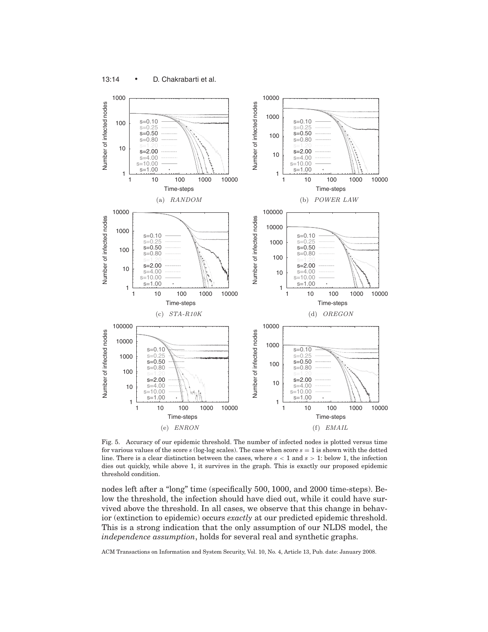



Fig. 5. Accuracy of our epidemic threshold. The number of infected nodes is plotted versus time for various values of the score  $s$  (log-log scales). The case when score  $s = 1$  is shown with the dotted line. There is a clear distinction between the cases, where *s* < 1 and *s* > 1: below 1, the infection dies out quickly, while above 1, it survives in the graph. This is exactly our proposed epidemic threshold condition.

nodes left after a "long" time (specifically 500, 1000, and 2000 time-steps). Below the threshold, the infection should have died out, while it could have survived above the threshold. In all cases, we observe that this change in behavior (extinction to epidemic) occurs *exactly* at our predicted epidemic threshold. This is a strong indication that the only assumption of our NLDS model, the *independence assumption*, holds for several real and synthetic graphs.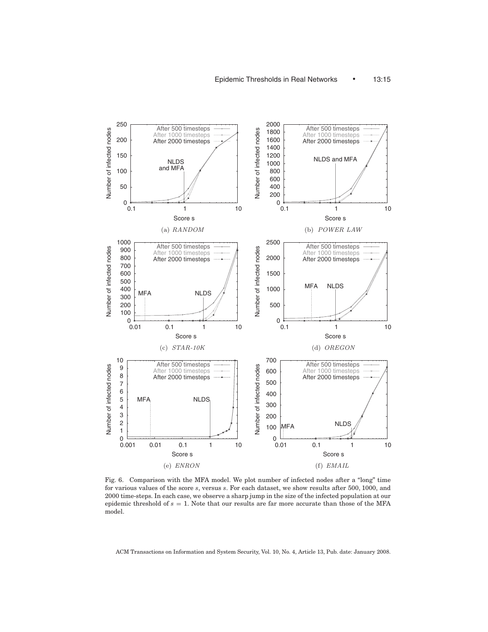

Fig. 6. Comparison with the MFA model. We plot number of infected nodes after a "long" time for various values of the score *s*, versus *s*. For each dataset, we show results after 500, 1000, and 2000 time-steps. In each case, we observe a sharp jump in the size of the infected population at our epidemic threshold of *s* = 1. Note that our results are far more accurate than those of the MFA model.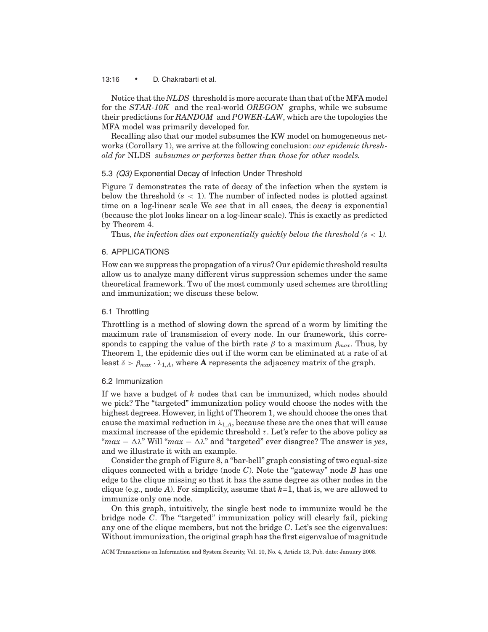#### 13:16 • D. Chakrabarti et al.

Notice that the *NLDS* threshold is more accurate than that of the MFA model for the *STAR-10K* and the real-world *OREGON* graphs, while we subsume their predictions for *RANDOM* and *POWER-LAW*, which are the topologies the MFA model was primarily developed for.

Recalling also that our model subsumes the KW model on homogeneous networks (Corollary 1), we arrive at the following conclusion: *our epidemic threshold for* NLDS *subsumes or performs better than those for other models.*

# 5.3 *(Q3)* Exponential Decay of Infection Under Threshold

Figure 7 demonstrates the rate of decay of the infection when the system is below the threshold  $(s < 1)$ . The number of infected nodes is plotted against time on a log-linear scale We see that in all cases, the decay is exponential (because the plot looks linear on a log-linear scale). This is exactly as predicted by Theorem 4.

Thus, *the infection dies out exponentially quickly below the threshold*  $(s < 1)$ *.* 

## 6. APPLICATIONS

How can we suppress the propagation of a virus? Our epidemic threshold results allow us to analyze many different virus suppression schemes under the same theoretical framework. Two of the most commonly used schemes are throttling and immunization; we discuss these below.

## 6.1 Throttling

Throttling is a method of slowing down the spread of a worm by limiting the maximum rate of transmission of every node. In our framework, this corresponds to capping the value of the birth rate  $\beta$  to a maximum  $\beta_{max}$ . Thus, by Theorem 1, the epidemic dies out if the worm can be eliminated at a rate of at least  $\delta > \beta_{max} \cdot \lambda_{1,A}$ , where **A** represents the adjacency matrix of the graph.

#### 6.2 Immunization

If we have a budget of *k* nodes that can be immunized, which nodes should we pick? The "targeted" immunization policy would choose the nodes with the highest degrees. However, in light of Theorem 1, we should choose the ones that cause the maximal reduction in  $\lambda_{1,A}$ , because these are the ones that will cause maximal increase of the epidemic threshold  $\tau$ . Let's refer to the above policy as " $max - \Delta \lambda$ " Will " $max - \Delta \lambda$ " and "targeted" ever disagree? The answer is *yes*, and we illustrate it with an example.

Consider the graph of Figure 8, a "bar-bell" graph consisting of two equal-size cliques connected with a bridge (node *C*). Note the "gateway" node *B* has one edge to the clique missing so that it has the same degree as other nodes in the clique (e.g., node *A*). For simplicity, assume that *k*=1, that is, we are allowed to immunize only one node.

On this graph, intuitively, the single best node to immunize would be the bridge node *C*. The "targeted" immunization policy will clearly fail, picking any one of the clique members, but not the bridge *C*. Let's see the eigenvalues: Without immunization, the original graph has the first eigenvalue of magnitude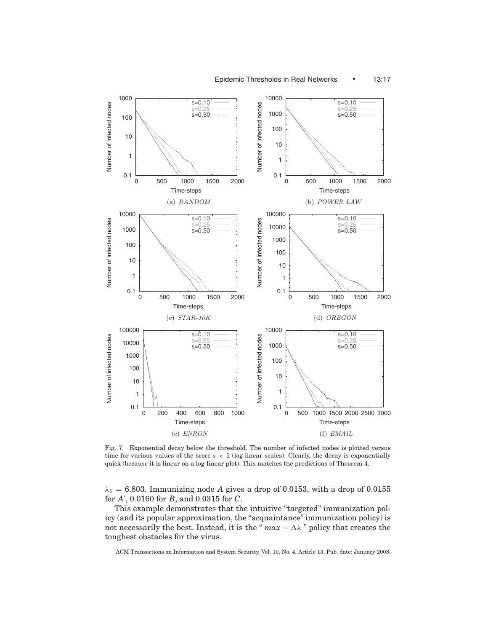

Fig. 7. Exponential decay below the threshold. The number of infected nodes is plotted versus time for various values of the score *s* < 1 (log-linear scales). Clearly, the decay is exponentially quick (because it is linear on a log-linear plot). This matches the predictions of Theorem 4.

 $\lambda_1 = 6.803$ . Immunizing node A gives a drop of 0.0153, with a drop of 0.0155 for *A* , 0.0160 for *B*, and 0.0315 for *C*.

This example demonstrates that the intuitive "targeted" immunization policy (and its popular approximation, the "acquaintance" immunization policy) is not necessarily the best. Instead, it is the " $max - \Delta\lambda$ " policy that creates the toughest obstacles for the virus.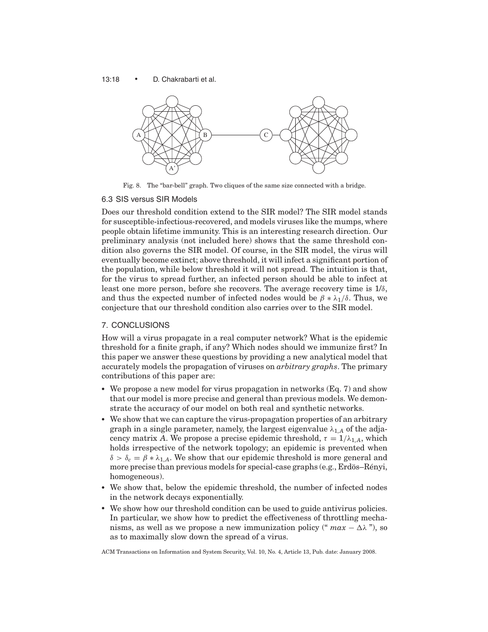#### 13:18 • D. Chakrabarti et al.



Fig. 8. The "bar-bell" graph. Two cliques of the same size connected with a bridge.

#### 6.3 SIS versus SIR Models

Does our threshold condition extend to the SIR model? The SIR model stands for susceptible-infectious-recovered, and models viruses like the mumps, where people obtain lifetime immunity. This is an interesting research direction. Our preliminary analysis (not included here) shows that the same threshold condition also governs the SIR model. Of course, in the SIR model, the virus will eventually become extinct; above threshold, it will infect a significant portion of the population, while below threshold it will not spread. The intuition is that, for the virus to spread further, an infected person should be able to infect at least one more person, before she recovers. The average recovery time is  $1/\delta$ , and thus the expected number of infected nodes would be  $\beta * \lambda_1/\delta$ . Thus, we conjecture that our threshold condition also carries over to the SIR model.

## 7. CONCLUSIONS

How will a virus propagate in a real computer network? What is the epidemic threshold for a finite graph, if any? Which nodes should we immunize first? In this paper we answer these questions by providing a new analytical model that accurately models the propagation of viruses on *arbitrary graphs*. The primary contributions of this paper are:

- We propose a new model for virus propagation in networks (Eq. 7) and show that our model is more precise and general than previous models. We demonstrate the accuracy of our model on both real and synthetic networks.
- We show that we can capture the virus-propagation properties of an arbitrary graph in a single parameter, namely, the largest eigenvalue  $\lambda_{1,A}$  of the adjacency matrix *A*. We propose a precise epidemic threshold,  $\tau = 1/\lambda_{1,A}$ , which holds irrespective of the network topology; an epidemic is prevented when  $\delta > \delta_c = \beta * \lambda_{1,A}$ . We show that our epidemic threshold is more general and more precise than previous models for special-case graphs (e.g., Erdös–Rényi, homogeneous).
- - We show that, below the epidemic threshold, the number of infected nodes in the network decays exponentially.
- We show how our threshold condition can be used to guide antivirus policies. In particular, we show how to predict the effectiveness of throttling mechanisms, as well as we propose a new immunization policy (" $max - \Delta\lambda$ "), so as to maximally slow down the spread of a virus.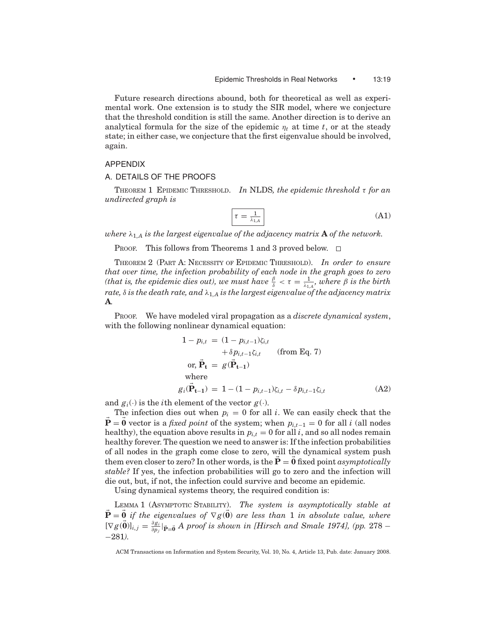Future research directions abound, both for theoretical as well as experimental work. One extension is to study the SIR model, where we conjecture that the threshold condition is still the same. Another direction is to derive an analytical formula for the size of the epidemic  $\eta_t$  at time *t*, or at the steady state; in either case, we conjecture that the first eigenvalue should be involved, again.

## APPENDIX

## A. DETAILS OF THE PROOFS

THEOREM 1 EPIDEMIC THRESHOLD. *In* NLDS*, the epidemic threshold* τ *for an undirected graph is*

$$
\tau = \frac{1}{\lambda_{1,A}}\tag{A1}
$$

*where*  $\lambda_{1,A}$  *is the largest eigenvalue of the adjacency matrix* **A** *of the network.* 

PROOF. This follows from Theorems 1 and 3 proved below.  $\square$ 

THEOREM 2 (PART A: NECESSITY OF EPIDEMIC THRESHOLD). *In order to ensure that over time, the infection probability of each node in the graph goes to zero (that is, the epidemic dies out), we must have*  $\frac{\beta}{\delta} < \tau = \frac{1}{\lambda_{1, A}}$ *, where*  $\beta$  *is the birth rate,*  $\delta$  *is the death rate, and*  $\lambda_{1,A}$  *is the largest eigenvalue of the adjacency matrix* **A***.*

PROOF. We have modeled viral propagation as a *discrete dynamical system*, with the following nonlinear dynamical equation:

$$
1 - p_{i,t} = (1 - p_{i,t-1})\zeta_{i,t}
$$
  
+  $\delta p_{i,t-1}\zeta_{i,t}$  (from Eq. 7)  
or,  $\vec{\mathbf{P}}_t = g(\vec{\mathbf{P}}_{t-1})$   
where  

$$
g_i(\vec{\mathbf{P}}_{t-1}) = 1 - (1 - p_{i,t-1})\zeta_{i,t} - \delta p_{i,t-1}\zeta_{i,t}
$$
(A2)

and  $g_i(\cdot)$  is the *i*th element of the vector  $g(\cdot)$ .

The infection dies out when  $p_i = 0$  for all *i*. We can easily check that the  **vector is a** *fixed point* **of the system; when**  $p_{i,t-1} = 0$  **for all** *i* **(all nodes** healthy), the equation above results in  $p_{i,t} = 0$  for all *i*, and so all nodes remain healthy forever. The question we need to answer is: If the infection probabilities of all nodes in the graph come close to zero, will the dynamical system push them even closer to zero? In other words, is the  $P = 0$  fixed point *asymptotically stable?* If yes, the infection probabilities will go to zero and the infection will die out, but, if not, the infection could survive and become an epidemic.

Using dynamical systems theory, the required condition is:

LEMMA 1 (ASYMPTOTIC STABILITY). *The system is asymptotically stable at* **P** = **0** *if the eigenvalues of* ∇ *g*( **0**) *are less than* 1 *in absolute value, where*  $[\nabla g(\vec{0})]_{i,j} = \frac{\partial g_i}{\partial p_j} |_{\vec{P} = \vec{0}} A$  proof is shown in [Hirsch and Smale 1974], (pp. 278 – −281*).*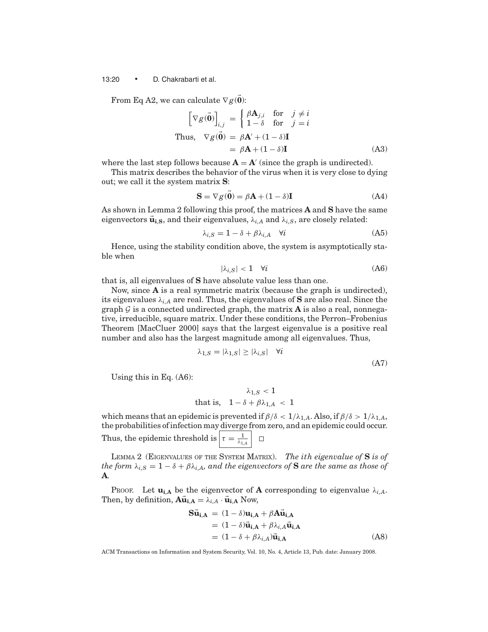#### 13:20 • D. Chakrabarti et al.

From Eq A2, we can calculate  $\nabla g(\mathbf{0})$ :

$$
\begin{bmatrix}\nabla g(\vec{\mathbf{0}})\n\end{bmatrix}_{i,j} = \begin{cases}\n\beta \mathbf{A}_{j,i} & \text{for } j \neq i \\
1 - \delta & \text{for } j = i\n\end{cases}
$$
\nThus,  $\nabla g(\vec{\mathbf{0}}) = \beta \mathbf{A}' + (1 - \delta)\mathbf{I}$   
\n
$$
= \beta \mathbf{A} + (1 - \delta)\mathbf{I}
$$
\n(A3)

where the last step follows because  $\mathbf{A} = \mathbf{A}'$  (since the graph is undirected).

This matrix describes the behavior of the virus when it is very close to dying out; we call it the system matrix **S**:

$$
\mathbf{S} = \nabla g(\mathbf{0}) = \beta \mathbf{A} + (1 - \delta) \mathbf{I}
$$
 (A4)

As shown in Lemma 2 following this proof, the matrices **A** and **S** have the same eigenvectors  $\vec{u}_{i,S}$ , and their eigenvalues,  $\lambda_{i,A}$  and  $\lambda_{i,S}$ , are closely related:

$$
\lambda_{i,S} = 1 - \delta + \beta \lambda_{i,A} \quad \forall i \tag{A5}
$$

Hence, using the stability condition above, the system is asymptotically stable when

$$
|\lambda_{i,S}| < 1 \quad \forall i \tag{A6}
$$

that is, all eigenvalues of **S** have absolute value less than one.

Now, since **A** is a real symmetric matrix (because the graph is undirected), its eigenvalues  $\lambda_{i,A}$  are real. Thus, the eigenvalues of **S** are also real. Since the graph  $\mathcal G$  is a connected undirected graph, the matrix **A** is also a real, nonnegative, irreducible, square matrix. Under these conditions, the Perron–Frobenius Theorem [MacCluer 2000] says that the largest eigenvalue is a positive real number and also has the largest magnitude among all eigenvalues. Thus,

$$
\lambda_{1,S} = |\lambda_{1,S}| \ge |\lambda_{i,S}| \quad \forall i
$$
\n(A7)

Using this in Eq. (A6):

$$
\lambda_{1,S} < 1
$$
 that is, 
$$
1 - \delta + \beta \lambda_{1,A} < 1
$$

which means that an epidemic is prevented if  $\beta/\delta < 1/\lambda_{1,A}$ . Also, if  $\beta/\delta > 1/\lambda_{1,A}$ , the probabilities of infection may diverge from zero, and an epidemic could occur. Thus, the epidemic threshold is  $\left|\tau = \frac{1}{\lambda_{1, A}}\right|$ 

LEMMA 2 (EIGENVALUES OF THE SYSTEM MATRIX). *The ith eigenvalue of* **S** *is of the form*  $\lambda_{i,S} = 1 - \delta + \beta \lambda_{i,A}$ , and the eigenvectors of **S** are the same as those of **A***.*

PROOF. Let  $\mathbf{u}_{i,A}$  be the eigenvector of **A** corresponding to eigenvalue  $\lambda_{i,A}$ . Then, by definition,  $\mathbf{A}\vec{\mathbf{u}}_{i,\mathbf{A}} = \lambda_{i,A} \cdot \vec{\mathbf{u}}_{i,\mathbf{A}}$  Now,

$$
\begin{aligned} \mathbf{S}\ddot{\mathbf{u}}_{\mathbf{i},\mathbf{A}} &= (1 - \delta)\mathbf{u}_{\mathbf{i},\mathbf{A}} + \beta \mathbf{A}\ddot{\mathbf{u}}_{\mathbf{i},\mathbf{A}} \\ &= (1 - \delta)\ddot{\mathbf{u}}_{\mathbf{i},\mathbf{A}} + \beta \lambda_{i,\mathbf{A}}\ddot{\mathbf{u}}_{\mathbf{i},\mathbf{A}} \\ &= (1 - \delta + \beta \lambda_{i,\mathbf{A}})\ddot{\mathbf{u}}_{\mathbf{i},\mathbf{A}} \end{aligned} \tag{A8}
$$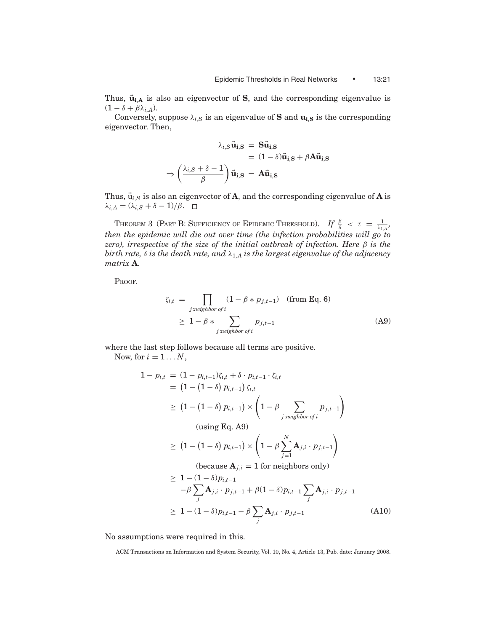Thus,  $\vec{u}_{i,A}$  is also an eigenvector of **S**, and the corresponding eigenvalue is  $(1 - \delta + \beta \lambda_{i,A}).$ 

Conversely, suppose  $\lambda_{i,S}$  is an eigenvalue of **S** and  $\mathbf{u}_{i,S}$  is the corresponding eigenvector. Then,

$$
\lambda_{i,S}\vec{\mathbf{u}}_{i,\mathbf{S}} = \mathbf{S}\vec{\mathbf{u}}_{i,\mathbf{S}}
$$
  
=  $(1 - \delta)\vec{\mathbf{u}}_{i,\mathbf{S}} + \beta \mathbf{A}\vec{\mathbf{u}}_{i,\mathbf{S}}$   

$$
\Rightarrow \left(\frac{\lambda_{i,S} + \delta - 1}{\beta}\right)\vec{\mathbf{u}}_{i,\mathbf{S}} = \mathbf{A}\vec{\mathbf{u}}_{i,\mathbf{S}}
$$

Thus,  $\vec{u}_{i,S}$  is also an eigenvector of **A**, and the corresponding eigenvalue of **A** is  $λ<sub>i</sub>, A = (λ<sub>i</sub>, S + δ - 1)/β.$  □

THEOREM 3 (PART B: SUFFICIENCY OF EPIDEMIC THRESHOLD). *If*  $\frac{\beta}{\delta} < \tau = \frac{1}{\lambda_{1,4}}$ , *then the epidemic will die out over time (the infection probabilities will go to zero), irrespective of the size of the initial outbreak of infection. Here* β *is the birth rate,*  $\delta$  *is the death rate, and*  $\lambda_{1,A}$  *is the largest eigenvalue of the adjacency matrix* **A***.*

PROOF.

$$
\zeta_{i,t} = \prod_{j:neighbor \text{ of } i} (1 - \beta * p_{j,t-1}) \quad (\text{from Eq. 6})
$$
\n
$$
\geq 1 - \beta * \sum_{j:neighbor \text{ of } i} p_{j,t-1} \tag{A9}
$$

where the last step follows because all terms are positive.

Now, for  $i = 1...N$ ,

$$
1 - p_{i,t} = (1 - p_{i,t-1})\zeta_{i,t} + \delta \cdot p_{i,t-1} \cdot \zeta_{i,t}
$$
  
\n
$$
= (1 - (1 - \delta) p_{i,t-1}) \zeta_{i,t}
$$
  
\n
$$
\geq (1 - (1 - \delta) p_{i,t-1}) \times \left(1 - \beta \sum_{j:neighbor \text{ of } i} p_{j,t-1}\right)
$$
  
\n(sing Eq. A9)  
\n
$$
\geq (1 - (1 - \delta) p_{i,t-1}) \times \left(1 - \beta \sum_{j=1}^{N} \mathbf{A}_{j,i} \cdot p_{j,t-1}\right)
$$
  
\n(because  $\mathbf{A}_{j,i} = 1$  for neighbors only)  
\n
$$
\geq 1 - (1 - \delta) p_{i,t-1}
$$
  
\n
$$
- \beta \sum_{j} \mathbf{A}_{j,i} \cdot p_{j,t-1} + \beta (1 - \delta) p_{i,t-1} \sum_{j} \mathbf{A}_{j,i} \cdot p_{j,t-1}
$$
  
\n
$$
\geq 1 - (1 - \delta) p_{i,t-1} - \beta \sum_{j} \mathbf{A}_{j,i} \cdot p_{j,t-1}
$$
 (A10)

No assumptions were required in this.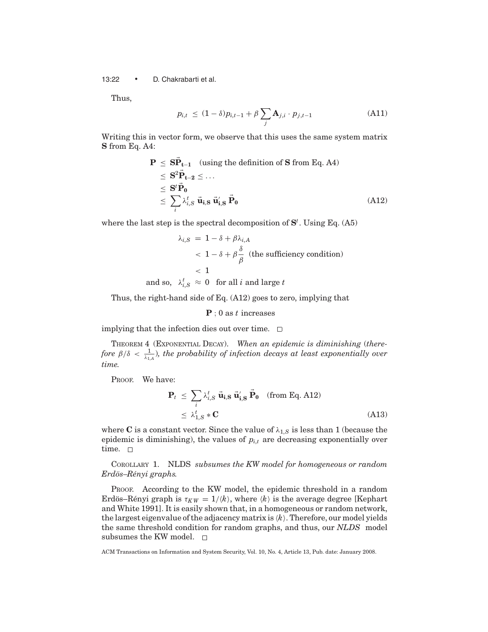13:22 • D. Chakrabarti et al.

Thus,

$$
p_{i,t} \le (1 - \delta) p_{i,t-1} + \beta \sum_{j} \mathbf{A}_{j,i} \cdot p_{j,t-1}
$$
 (A11)

Writing this in vector form, we observe that this uses the same system matrix **S** from Eq. A4:

$$
\mathbf{P} \leq \mathbf{S} \vec{\mathbf{P}}_{t-1} \text{ (using the definition of } \mathbf{S} \text{ from Eq. A4})
$$
\n
$$
\leq \mathbf{S}^2 \vec{\mathbf{P}}_{t-2} \leq \dots
$$
\n
$$
\leq \mathbf{S}^t \vec{\mathbf{P}}_0
$$
\n
$$
\leq \sum_i \lambda_{i,S}^t \vec{\mathbf{u}}_{i,\mathbf{S}} \vec{\mathbf{u}}_{i,\mathbf{S}} \vec{\mathbf{P}}_0 \text{ (A12)}
$$

where the last step is the spectral decomposition of **S***<sup>t</sup>* . Using Eq. (A5)

$$
\lambda_{i,S} = 1 - \delta + \beta \lambda_{i,A}
$$
  

$$
< 1 - \delta + \beta \frac{\delta}{\beta} \text{ (the sufficiency condition)}
$$
  

$$
< 1
$$

and so,  $\lambda_{i,S}^t \approx 0$  for all *i* and large *t* 

Thus, the right-hand side of Eq. (A12) goes to zero, implying that

## **P** ; 0 as *t* increases

implying that the infection dies out over time.  $\Box$ 

THEOREM 4 (EXPONENTIAL DECAY). *When an epidemic is diminishing* (*therefore*  $\beta/\delta < \frac{1}{\lambda_{1, A}}$ )*, the probability of infection decays at least exponentially over time.*

PROOF. We have:

$$
\mathbf{P}_t \leq \sum_i \lambda_{i,S}^t \vec{\mathbf{u}}_{i,S} \vec{\mathbf{u}}_{i,S} \vec{\mathbf{P}}_0 \quad \text{(from Eq. A12)}
$$
  

$$
\leq \lambda_{1,S}^t * \mathbf{C} \tag{A13}
$$

where **C** is a constant vector. Since the value of  $\lambda_{1,S}$  is less than 1 (because the epidemic is diminishing), the values of  $p_{i,t}$  are decreasing exponentially over time.  $\square$ 

COROLLARY 1. NLDS *subsumes the KW model for homogeneous or random Erd¨os–R´enyi graphs.*

PROOF. According to the KW model, the epidemic threshold in a random Erdös–Rényi graph is  $\tau_{KW} = 1/k$ , where  $\langle k \rangle$  is the average degree [Kephart] and White 1991]. It is easily shown that, in a homogeneous or random network, the largest eigenvalue of the adjacency matrix is  $\langle k \rangle$ . Therefore, our model yields the same threshold condition for random graphs, and thus, our *NLDS* model subsumes the KW model.  $\square$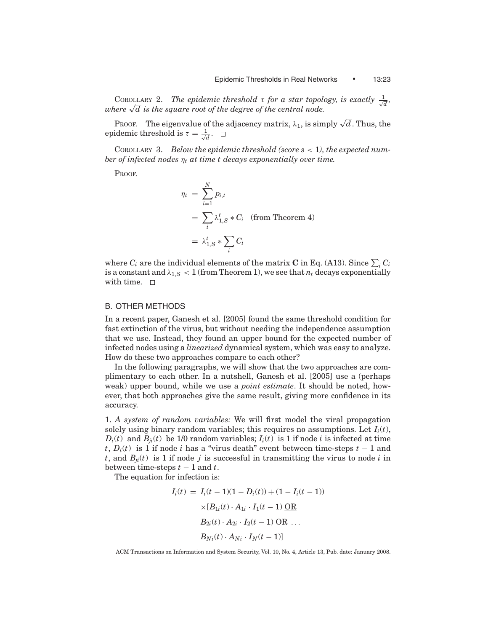COROLLARY 2. The epidemic threshold  $\tau$  for a star topology, is exactly  $\frac{1}{\sqrt{d}}$ , *where*  $\sqrt{d}$  is the square root of the degree of the central node.

PROOF. The eigenvalue of the adjacency matrix,  $\lambda_1$ , is simply  $\sqrt{d}$ . Thus, the epidemic threshold is  $\tau = \frac{1}{\sqrt{d}}$ .

COROLLARY 3. *Below the epidemic threshold (score s* < 1*), the expected number of infected nodes* η*<sup>t</sup> at time t decays exponentially over time.*

PROOF.

$$
\eta_t = \sum_{i=1}^N p_{i,t}
$$
  
=  $\sum_i \lambda_{1,S}^t * C_i$  (from Theorem 4)  
=  $\lambda_{1,S}^t * \sum_i C_i$ 

where  $C_i$  are the individual elements of the matrix  $\mathbf C$  in Eq. (A13). Since  $\sum_i C_i$ is a constant and  $\lambda_{1,S}$  < 1 (from Theorem 1), we see that  $n_t$  decays exponentially with time.  $\square$ 

## B. OTHER METHODS

In a recent paper, Ganesh et al. [2005] found the same threshold condition for fast extinction of the virus, but without needing the independence assumption that we use. Instead, they found an upper bound for the expected number of infected nodes using a *linearized* dynamical system, which was easy to analyze. How do these two approaches compare to each other?

In the following paragraphs, we will show that the two approaches are complimentary to each other. In a nutshell, Ganesh et al. [2005] use a (perhaps weak) upper bound, while we use a *point estimate*. It should be noted, however, that both approaches give the same result, giving more confidence in its accuracy.

1. *A system of random variables:* We will first model the viral propagation solely using binary random variables; this requires no assumptions. Let  $I_i(t)$ ,  $D_i(t)$  and  $B_{ii}(t)$  be 1/0 random variables;  $I_i(t)$  is 1 if node *i* is infected at time *t*, *Di*(*t*) is 1 if node *i* has a "virus death" event between time-steps *t* − 1 and *t*, and  $B_{ji}(t)$  is 1 if node *j* is successful in transmitting the virus to node *i* in between time-steps  $t-1$  and  $t$ .

The equation for infection is:

$$
I_i(t) = I_i(t - 1)(1 - D_i(t)) + (1 - I_i(t - 1))
$$
  
×[ $B_{1i}(t) \cdot A_{1i} \cdot I_1(t - 1)$  OR  
 $B_{2i}(t) \cdot A_{2i} \cdot I_2(t - 1)$  OR ...  
 $B_{Ni}(t) \cdot A_{Ni} \cdot I_N(t - 1)$ ]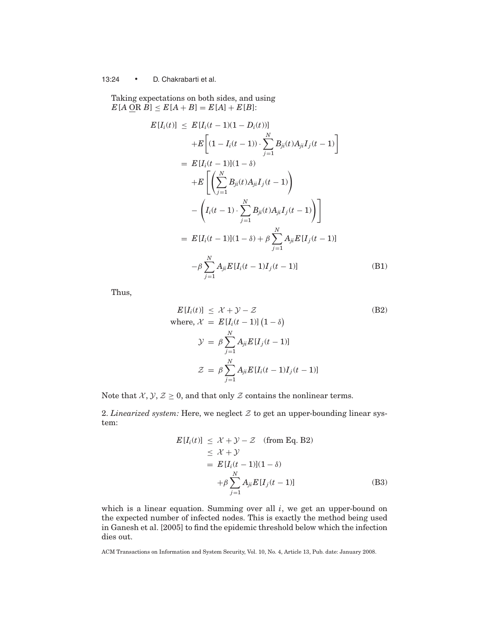# 13:24 • D. Chakrabarti et al.

Taking expectations on both sides, and using  $E[A \Omega B] \leq E[A + B] = E[A] + E[B]$ :

$$
E[I_i(t)] \leq E[I_i(t-1)(1 - D_i(t))]
$$
  
+
$$
E\left[(1 - I_i(t-1)) \cdot \sum_{j=1}^{N} B_{ji}(t)A_{ji}I_j(t-1)\right]
$$
  
= 
$$
E[I_i(t-1)](1 - \delta)
$$
  
+
$$
E\left[\left(\sum_{j=1}^{N} B_{ji}(t)A_{ji}I_j(t-1)\right)
$$
  
-
$$
\left(I_i(t-1) \cdot \sum_{j=1}^{N} B_{ji}(t)A_{ji}I_j(t-1)\right)\right]
$$
  
= 
$$
E[I_i(t-1)](1 - \delta) + \beta \sum_{j=1}^{N} A_{ji}E[I_j(t-1)]
$$
  
-
$$
\beta \sum_{j=1}^{N} A_{ji}E[I_i(t-1)I_j(t-1)]
$$
(B1)

Thus,

$$
E[I_i(t)] \leq \mathcal{X} + \mathcal{Y} - \mathcal{Z}
$$
\n(B2)

\n
$$
\text{where, } \mathcal{X} = E[I_i(t-1)] \left(1 - \delta\right)
$$
\n
$$
\mathcal{Y} = \beta \sum_{j=1}^{N} A_{ji} E[I_j(t-1)]
$$
\n
$$
\mathcal{Z} = \beta \sum_{j=1}^{N} A_{ji} E[I_i(t-1)I_j(t-1)]
$$

Note that  $X, Y, Z \geq 0$ , and that only Z contains the nonlinear terms.

2. *Linearized system:* Here, we neglect  $Z$  to get an upper-bounding linear system:

$$
E[I_i(t)] \leq \mathcal{X} + \mathcal{Y} - \mathcal{Z} \quad \text{(from Eq. B2)}
$$
\n
$$
\leq \mathcal{X} + \mathcal{Y}
$$
\n
$$
= E[I_i(t-1)](1-\delta)
$$
\n
$$
+ \beta \sum_{j=1}^{N} A_{ji} E[I_j(t-1)] \quad \text{(B3)}
$$

which is a linear equation. Summing over all *i*, we get an upper-bound on the expected number of infected nodes. This is exactly the method being used in Ganesh et al. [2005] to find the epidemic threshold below which the infection dies out.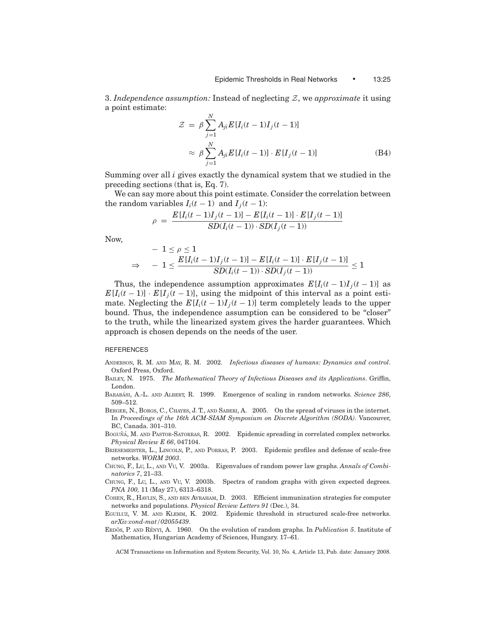3. *Independence assumption:* Instead of neglecting Z, we *approximate* it using a point estimate: *N*

$$
\mathcal{Z} = \beta \sum_{j=1}^{N} A_{ji} E[I_i(t-1)I_j(t-1)]
$$
  

$$
\approx \beta \sum_{j=1}^{N} A_{ji} E[I_i(t-1)] \cdot E[I_j(t-1)]
$$
 (B4)

Summing over all *i* gives exactly the dynamical system that we studied in the preceding sections (that is, Eq. 7).

We can say more about this point estimate. Consider the correlation between the random variables  $I_i(t-1)$  and  $I_i(t-1)$ :

$$
\rho = \frac{E[I_i(t-1)I_j(t-1)] - E[I_i(t-1)] \cdot E[I_j(t-1)]}{SD(I_i(t-1)) \cdot SD(I_j(t-1))}
$$

Now,

$$
- 1 \leq \rho \leq 1
$$
  

$$
\Rightarrow - 1 \leq \frac{E[I_i(t-1)I_j(t-1)] - E[I_i(t-1)] \cdot E[I_j(t-1)]}{SD(I_i(t-1)) \cdot SD(I_j(t-1))} \leq 1
$$

Thus, the independence assumption approximates  $E[I_i(t-1)I_j(t-1)]$  as  $E[I_i(t-1)] \cdot E[I_i(t-1)]$ , using the midpoint of this interval as a point estimate. Neglecting the  $E[I_i(t-1)I_j(t-1)]$  term completely leads to the upper bound. Thus, the independence assumption can be considered to be "closer" to the truth, while the linearized system gives the harder guarantees. Which approach is chosen depends on the needs of the user.

#### **REFERENCES**

- ANDERSON, R. M. AND MAY, R. M. 2002. *Infectious diseases of humans: Dynamics and control*. Oxford Press, Oxford.
- BAILEY, N. 1975. *The Mathematical Theory of Infectious Diseases and its Applications*. Griffin, London.
- BARABÁSI, A.-L. AND ALBERT, R. 1999. Emergence of scaling in random networks. *Science 286*, 509–512.
- BERGER, N., BORGS, C., CHAYES, J. T., AND SABERI, A. 2005. On the spread of viruses in the internet. In *Proceedings of the 16th ACM-SIAM Symposium on Discrete Algorithm (SODA)*. Vancouver, BC, Canada. 301–310.
- BOGUÑÁ, M. AND PASTOR-SATORRAS, R. 2002. Epidemic spreading in correlated complex networks. *Physical Review E 66*, 047104.
- BRIESEMEISTER, L., LINCOLN, P., AND PORRAS, P. 2003. Epidemic profiles and defense of scale-free networks. *WORM 2003*.
- CHUNG, F., LU, L., AND VU, V. 2003a. Eigenvalues of random power law graphs. *Annals of Combinatorics 7*, 21–33.
- CHUNG, F., LU, L., AND VU, V. 2003b. Spectra of random graphs with given expected degrees. *PNA 100,* 11 (May 27), 6313–6318.
- COHEN, R., HAVLIN, S., AND BEN AVRAHAM, D. 2003. Efficient immunization strategies for computer networks and populations. *Physical Review Letters 91* (Dec.), 34.
- EGUILUZ, V. M. AND KLEMM, K. 2002. Epidemic threshold in structured scale-free networks. *arXiv:cond-mat/02055439*.
- ERDOS, P. AND RÉNYI, A. 1960. On the evolution of random graphs. In *Publication 5*. Institute of Mathematics, Hungarian Academy of Sciences, Hungary. 17–61.